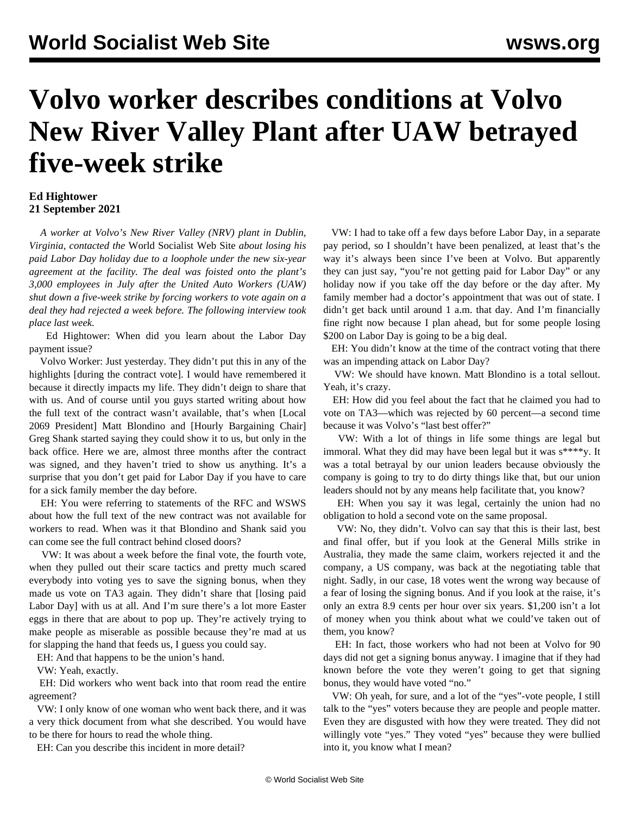## **Volvo worker describes conditions at Volvo New River Valley Plant after UAW betrayed five-week strike**

## **Ed Hightower 21 September 2021**

 *A worker at Volvo's New River Valley (NRV) plant in Dublin, Virginia, contacted the* World Socialist Web Site *about losing his paid Labor Day holiday due to a loophole under the new six-year agreement at the facility. The deal was foisted onto the plant's 3,000 employees in July after the United Auto Workers (UAW) shut down a five-week strike by forcing workers to vote again on a deal they had rejected a week before. The following interview took place last week.*

 Ed Hightower: When did you learn about the Labor Day payment issue?

 Volvo Worker: Just yesterday. They didn't put this in any of the highlights [during the contract vote]. I would have remembered it because it directly impacts my life. They didn't deign to share that with us. And of course until you guys started writing about how the [full text of the contract](/en/articles/2021/07/31/volv-j31.html) wasn't available, that's when [Local 2069 President] Matt Blondino and [Hourly Bargaining Chair] Greg Shank started saying they could show it to us, but only in the back office. Here we are, almost three months after the contract was signed, and they haven't tried to show us anything. It's a surprise that you don't get paid for Labor Day if you have to care for a sick family member the day before.

 EH: You were referring to statements of the RFC and WSWS about how the full text of the new contract was not available for workers to read. When was it that Blondino and Shank said you can come see the full contract behind closed doors?

 VW: It was about a week before the final vote, the [fourth vote](/en/articles/2021/07/13/vol1-j13.html), when they pulled out their scare tactics and pretty much scared everybody into voting yes to save the signing bonus, when they made us vote on TA3 again. They didn't share that [losing paid Labor Day] with us at all. And I'm sure there's a lot more Easter eggs in there that are about to pop up. They're actively trying to make people as miserable as possible because they're mad at us for slapping the hand that feeds us, I guess you could say.

EH: And that happens to be the union's hand.

VW: Yeah, exactly.

 EH: Did workers who went back into that room read the entire agreement?

 VW: I only know of one woman who went back there, and it was a very thick document from what she described. You would have to be there for hours to read the whole thing.

EH: Can you describe this incident in more detail?

 VW: I had to take off a few days before Labor Day, in a separate pay period, so I shouldn't have been penalized, at least that's the way it's always been since I've been at Volvo. But apparently they can just say, "you're not getting paid for Labor Day" or any holiday now if you take off the day before or the day after. My family member had a doctor's appointment that was out of state. I didn't get back until around 1 a.m. that day. And I'm financially fine right now because I plan ahead, but for some people losing \$200 on Labor Day is going to be a big deal.

 EH: You didn't know at the time of the contract voting that there was an impending attack on Labor Day?

 VW: We should have known. Matt Blondino is a total sellout. Yeah, it's crazy.

 EH: How did you feel about the fact that he claimed you had to vote on TA3—which was rejected by 60 percent—a second time because it was Volvo's "last best offer?"

 VW: With a lot of things in life some things are legal but immoral. What they did may have been legal but it was  $s^{***}$ y. It was a total betrayal by our union leaders because obviously the company is going to try to do dirty things like that, but our union leaders should not by any means help facilitate that, you know?

 EH: When you say it was legal, certainly the union had no obligation to hold a second vote on the same proposal.

 VW: No, they didn't. Volvo can say that this is their last, best and final offer, but if you look at the [General Mills strike in](/en/articles/2021/06/28/gmst-j28.html) [Australia](/en/articles/2021/06/28/gmst-j28.html), they made the same claim, workers rejected it and the company, a US company, was back at the negotiating table that night. Sadly, in our case, 18 votes went the wrong way because of a fear of losing the signing bonus. And if you look at the raise, it's only an extra 8.9 cents per hour over six years. \$1,200 isn't a lot of money when you think about what we could've taken out of them, you know?

 EH: In fact, those workers who had not been at Volvo for 90 days did not get a signing bonus anyway. I imagine that if they had known before the vote they weren't going to get that signing bonus, they would have voted "no."

 VW: Oh yeah, for sure, and a lot of the "yes"-vote people, I still talk to the "yes" voters because they are people and people matter. Even they are disgusted with how they were treated. They did not willingly vote "yes." They voted "yes" because they were bullied into it, you know what I mean?